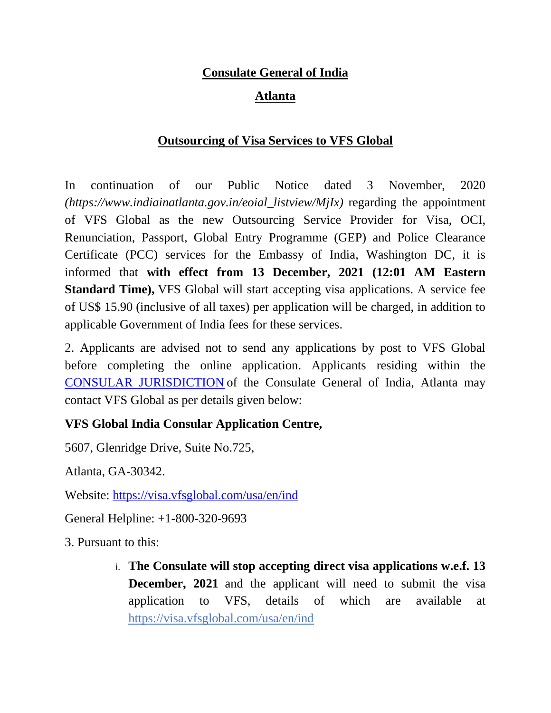# **Consulate General of India**

## **Atlanta**

## **Outsourcing of Visa Services to VFS Global**

In continuation of our Public Notice dated 3 November, 2020 *(https://www.indiainatlanta.gov.in/eoial\_listview/MjIx)* regarding the appointment of VFS Global as the new Outsourcing Service Provider for Visa, OCI, Renunciation, Passport, Global Entry Programme (GEP) and Police Clearance Certificate (PCC) services for the Embassy of India, Washington DC, it is informed that **with effect from 13 December, 2021 (12:01 AM Eastern Standard Time),** VFS Global will start accepting visa applications. A service fee of US\$ 15.90 (inclusive of all taxes) per application will be charged, in addition to applicable Government of India fees for these services.

2. Applicants are advised not to send any applications by post to VFS Global before completing the online application. Applicants residing within the [CONSULAR JURISDICTION](https://indianembassyusa.gov.in/pages/MTk) of the Consulate General of India, Atlanta may contact VFS Global as per details given below:

#### **VFS Global India Consular Application Centre,**

5607, Glenridge Drive, Suite No.725,

Atlanta, GA-30342.

Website: <https://visa.vfsglobal.com/usa/en/ind>

General Helpline: +1-800-320-9693

3. Pursuant to this:

i. **The Consulate will stop accepting direct visa applications w.e.f. 13 December, 2021** and the applicant will need to submit the visa application to VFS, details of which are available at <https://visa.vfsglobal.com/usa/en/ind>